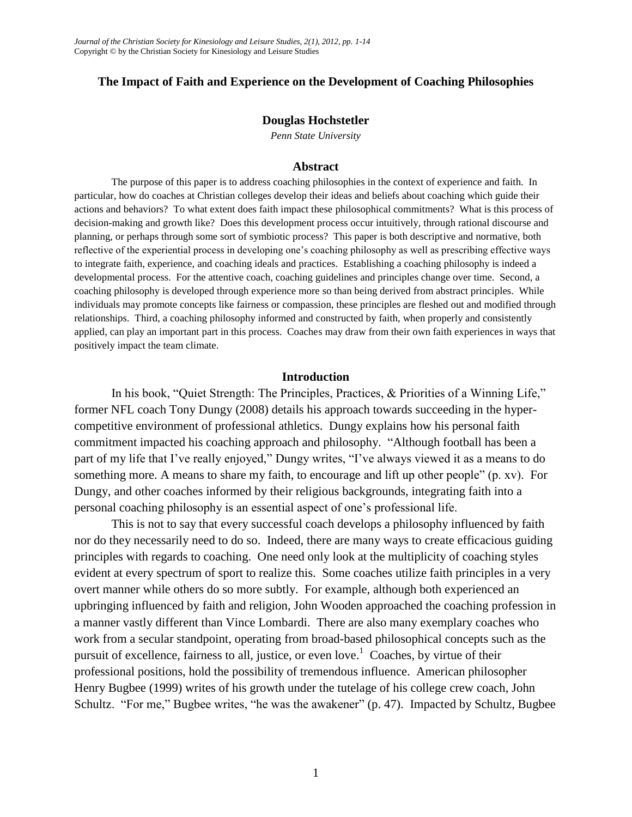## **The Impact of Faith and Experience on the Development of Coaching Philosophies**

### **Douglas Hochstetler**

*Penn State University*

#### **Abstract**

The purpose of this paper is to address coaching philosophies in the context of experience and faith. In particular, how do coaches at Christian colleges develop their ideas and beliefs about coaching which guide their actions and behaviors? To what extent does faith impact these philosophical commitments? What is this process of decision-making and growth like? Does this development process occur intuitively, through rational discourse and planning, or perhaps through some sort of symbiotic process? This paper is both descriptive and normative, both reflective of the experiential process in developing one's coaching philosophy as well as prescribing effective ways to integrate faith, experience, and coaching ideals and practices. Establishing a coaching philosophy is indeed a developmental process. For the attentive coach, coaching guidelines and principles change over time. Second, a coaching philosophy is developed through experience more so than being derived from abstract principles. While individuals may promote concepts like fairness or compassion, these principles are fleshed out and modified through relationships. Third, a coaching philosophy informed and constructed by faith, when properly and consistently applied, can play an important part in this process. Coaches may draw from their own faith experiences in ways that positively impact the team climate.

### **Introduction**

In his book, "Quiet Strength: The Principles, Practices, & Priorities of a Winning Life," former NFL coach Tony Dungy (2008) details his approach towards succeeding in the hypercompetitive environment of professional athletics. Dungy explains how his personal faith commitment impacted his coaching approach and philosophy. "Although football has been a part of my life that I've really enjoyed," Dungy writes, "I've always viewed it as a means to do something more. A means to share my faith, to encourage and lift up other people" (p. xv). For Dungy, and other coaches informed by their religious backgrounds, integrating faith into a personal coaching philosophy is an essential aspect of one's professional life.

This is not to say that every successful coach develops a philosophy influenced by faith nor do they necessarily need to do so. Indeed, there are many ways to create efficacious guiding principles with regards to coaching. One need only look at the multiplicity of coaching styles evident at every spectrum of sport to realize this. Some coaches utilize faith principles in a very overt manner while others do so more subtly. For example, although both experienced an upbringing influenced by faith and religion, John Wooden approached the coaching profession in a manner vastly different than Vince Lombardi. There are also many exemplary coaches who work from a secular standpoint, operating from broad-based philosophical concepts such as the pursuit of excellence, fairness to all, justice, or even love.<sup>1</sup> Coaches, by virtue of their professional positions, hold the possibility of tremendous influence. American philosopher Henry Bugbee (1999) writes of his growth under the tutelage of his college crew coach, John Schultz. "For me," Bugbee writes, "he was the awakener" (p. 47). Impacted by Schultz, Bugbee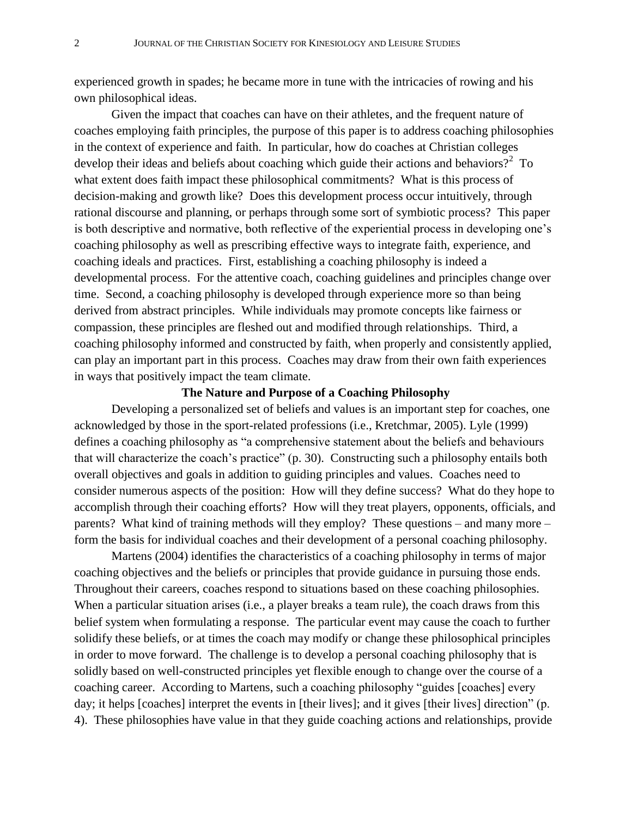experienced growth in spades; he became more in tune with the intricacies of rowing and his own philosophical ideas.

Given the impact that coaches can have on their athletes, and the frequent nature of coaches employing faith principles, the purpose of this paper is to address coaching philosophies in the context of experience and faith. In particular, how do coaches at Christian colleges develop their ideas and beliefs about coaching which guide their actions and behaviors?<sup>2</sup> To what extent does faith impact these philosophical commitments? What is this process of decision-making and growth like? Does this development process occur intuitively, through rational discourse and planning, or perhaps through some sort of symbiotic process? This paper is both descriptive and normative, both reflective of the experiential process in developing one's coaching philosophy as well as prescribing effective ways to integrate faith, experience, and coaching ideals and practices. First, establishing a coaching philosophy is indeed a developmental process. For the attentive coach, coaching guidelines and principles change over time. Second, a coaching philosophy is developed through experience more so than being derived from abstract principles. While individuals may promote concepts like fairness or compassion, these principles are fleshed out and modified through relationships. Third, a coaching philosophy informed and constructed by faith, when properly and consistently applied, can play an important part in this process. Coaches may draw from their own faith experiences in ways that positively impact the team climate.

## **The Nature and Purpose of a Coaching Philosophy**

Developing a personalized set of beliefs and values is an important step for coaches, one acknowledged by those in the sport-related professions (i.e., Kretchmar, 2005). Lyle (1999) defines a coaching philosophy as "a comprehensive statement about the beliefs and behaviours that will characterize the coach's practice" (p. 30). Constructing such a philosophy entails both overall objectives and goals in addition to guiding principles and values. Coaches need to consider numerous aspects of the position: How will they define success? What do they hope to accomplish through their coaching efforts?How will they treat players, opponents, officials, and parents? What kind of training methods will they employ? These questions – and many more – form the basis for individual coaches and their development of a personal coaching philosophy.

Martens (2004) identifies the characteristics of a coaching philosophy in terms of major coaching objectives and the beliefs or principles that provide guidance in pursuing those ends. Throughout their careers, coaches respond to situations based on these coaching philosophies. When a particular situation arises (i.e., a player breaks a team rule), the coach draws from this belief system when formulating a response. The particular event may cause the coach to further solidify these beliefs, or at times the coach may modify or change these philosophical principles in order to move forward. The challenge is to develop a personal coaching philosophy that is solidly based on well-constructed principles yet flexible enough to change over the course of a coaching career. According to Martens, such a coaching philosophy "guides [coaches] every day; it helps [coaches] interpret the events in [their lives]; and it gives [their lives] direction" (p. 4). These philosophies have value in that they guide coaching actions and relationships, provide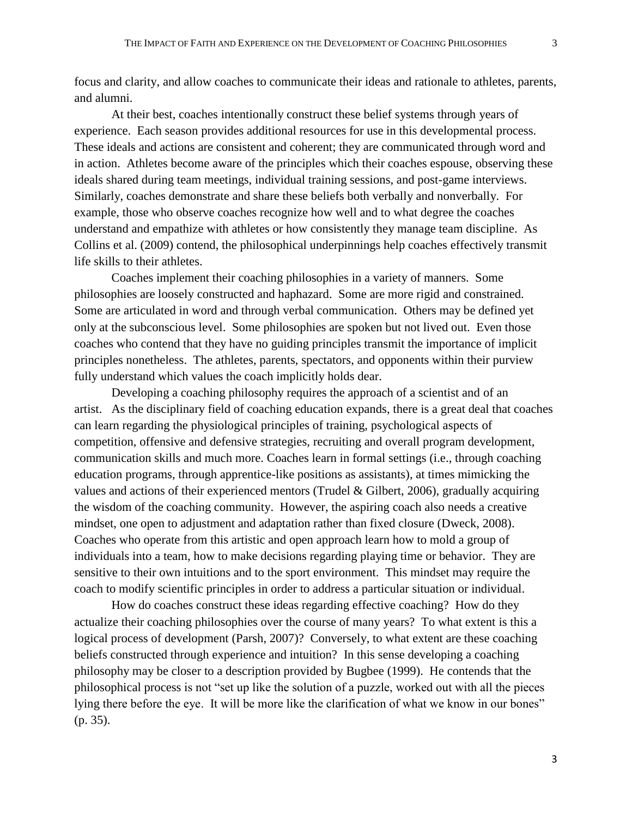focus and clarity, and allow coaches to communicate their ideas and rationale to athletes, parents, and alumni.

At their best, coaches intentionally construct these belief systems through years of experience. Each season provides additional resources for use in this developmental process. These ideals and actions are consistent and coherent; they are communicated through word and in action. Athletes become aware of the principles which their coaches espouse, observing these ideals shared during team meetings, individual training sessions, and post-game interviews. Similarly, coaches demonstrate and share these beliefs both verbally and nonverbally. For example, those who observe coaches recognize how well and to what degree the coaches understand and empathize with athletes or how consistently they manage team discipline. As Collins et al. (2009) contend, the philosophical underpinnings help coaches effectively transmit life skills to their athletes.

Coaches implement their coaching philosophies in a variety of manners. Some philosophies are loosely constructed and haphazard. Some are more rigid and constrained. Some are articulated in word and through verbal communication. Others may be defined yet only at the subconscious level. Some philosophies are spoken but not lived out. Even those coaches who contend that they have no guiding principles transmit the importance of implicit principles nonetheless. The athletes, parents, spectators, and opponents within their purview fully understand which values the coach implicitly holds dear.

Developing a coaching philosophy requires the approach of a scientist and of an artist. As the disciplinary field of coaching education expands, there is a great deal that coaches can learn regarding the physiological principles of training, psychological aspects of competition, offensive and defensive strategies, recruiting and overall program development, communication skills and much more. Coaches learn in formal settings (i.e., through coaching education programs, through apprentice-like positions as assistants), at times mimicking the values and actions of their experienced mentors (Trudel & Gilbert, 2006), gradually acquiring the wisdom of the coaching community. However, the aspiring coach also needs a creative mindset, one open to adjustment and adaptation rather than fixed closure (Dweck, 2008). Coaches who operate from this artistic and open approach learn how to mold a group of individuals into a team, how to make decisions regarding playing time or behavior. They are sensitive to their own intuitions and to the sport environment. This mindset may require the coach to modify scientific principles in order to address a particular situation or individual.

How do coaches construct these ideas regarding effective coaching? How do they actualize their coaching philosophies over the course of many years? To what extent is this a logical process of development (Parsh, 2007)? Conversely, to what extent are these coaching beliefs constructed through experience and intuition? In this sense developing a coaching philosophy may be closer to a description provided by Bugbee (1999). He contends that the philosophical process is not "set up like the solution of a puzzle, worked out with all the pieces lying there before the eye. It will be more like the clarification of what we know in our bones" (p. 35).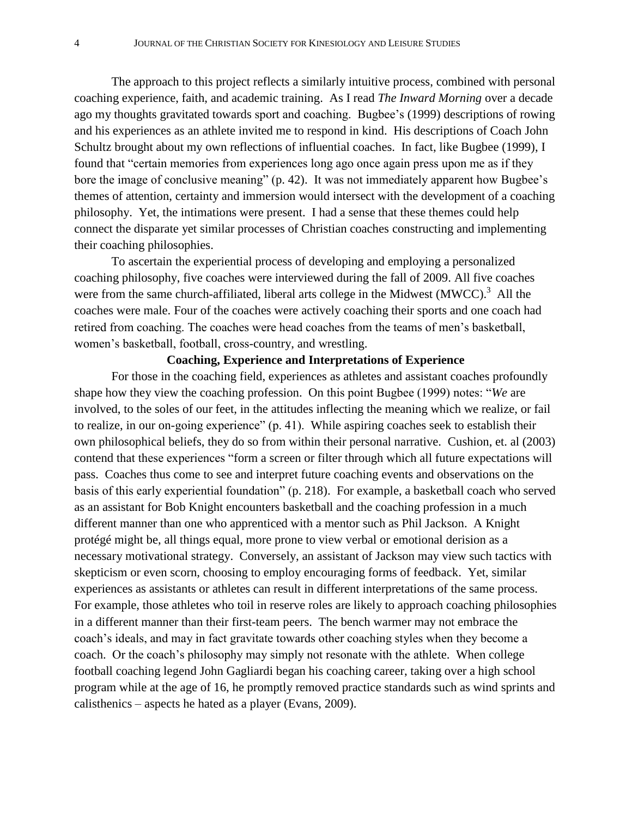The approach to this project reflects a similarly intuitive process, combined with personal coaching experience, faith, and academic training. As I read *The Inward Morning* over a decade ago my thoughts gravitated towards sport and coaching. Bugbee's (1999) descriptions of rowing and his experiences as an athlete invited me to respond in kind. His descriptions of Coach John Schultz brought about my own reflections of influential coaches. In fact, like Bugbee (1999), I found that "certain memories from experiences long ago once again press upon me as if they bore the image of conclusive meaning" (p. 42). It was not immediately apparent how Bugbee's themes of attention, certainty and immersion would intersect with the development of a coaching philosophy. Yet, the intimations were present. I had a sense that these themes could help connect the disparate yet similar processes of Christian coaches constructing and implementing their coaching philosophies.

To ascertain the experiential process of developing and employing a personalized coaching philosophy, five coaches were interviewed during the fall of 2009. All five coaches were from the same church-affiliated, liberal arts college in the Midwest (MWCC).<sup>3</sup> All the coaches were male. Four of the coaches were actively coaching their sports and one coach had retired from coaching. The coaches were head coaches from the teams of men's basketball, women's basketball, football, cross-country, and wrestling.

# **Coaching, Experience and Interpretations of Experience**

For those in the coaching field, experiences as athletes and assistant coaches profoundly shape how they view the coaching profession. On this point Bugbee (1999) notes: "*We* are involved, to the soles of our feet, in the attitudes inflecting the meaning which we realize, or fail to realize, in our on-going experience" (p. 41). While aspiring coaches seek to establish their own philosophical beliefs, they do so from within their personal narrative. Cushion, et. al (2003) contend that these experiences "form a screen or filter through which all future expectations will pass. Coaches thus come to see and interpret future coaching events and observations on the basis of this early experiential foundation" (p. 218). For example, a basketball coach who served as an assistant for Bob Knight encounters basketball and the coaching profession in a much different manner than one who apprenticed with a mentor such as Phil Jackson. A Knight protégé might be, all things equal, more prone to view verbal or emotional derision as a necessary motivational strategy. Conversely, an assistant of Jackson may view such tactics with skepticism or even scorn, choosing to employ encouraging forms of feedback. Yet, similar experiences as assistants or athletes can result in different interpretations of the same process. For example, those athletes who toil in reserve roles are likely to approach coaching philosophies in a different manner than their first-team peers. The bench warmer may not embrace the coach's ideals, and may in fact gravitate towards other coaching styles when they become a coach. Or the coach's philosophy may simply not resonate with the athlete. When college football coaching legend John Gagliardi began his coaching career, taking over a high school program while at the age of 16, he promptly removed practice standards such as wind sprints and calisthenics – aspects he hated as a player (Evans, 2009).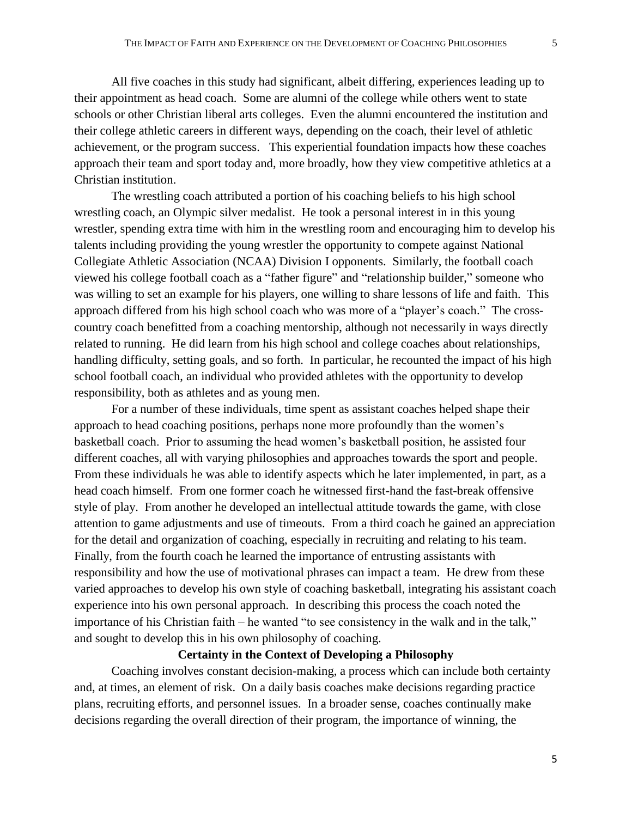All five coaches in this study had significant, albeit differing, experiences leading up to their appointment as head coach. Some are alumni of the college while others went to state schools or other Christian liberal arts colleges. Even the alumni encountered the institution and their college athletic careers in different ways, depending on the coach, their level of athletic achievement, or the program success. This experiential foundation impacts how these coaches approach their team and sport today and, more broadly, how they view competitive athletics at a Christian institution.

The wrestling coach attributed a portion of his coaching beliefs to his high school wrestling coach, an Olympic silver medalist. He took a personal interest in in this young wrestler, spending extra time with him in the wrestling room and encouraging him to develop his talents including providing the young wrestler the opportunity to compete against National Collegiate Athletic Association (NCAA) Division I opponents. Similarly, the football coach viewed his college football coach as a "father figure" and "relationship builder," someone who was willing to set an example for his players, one willing to share lessons of life and faith. This approach differed from his high school coach who was more of a "player's coach." The crosscountry coach benefitted from a coaching mentorship, although not necessarily in ways directly related to running. He did learn from his high school and college coaches about relationships, handling difficulty, setting goals, and so forth. In particular, he recounted the impact of his high school football coach, an individual who provided athletes with the opportunity to develop responsibility, both as athletes and as young men.

For a number of these individuals, time spent as assistant coaches helped shape their approach to head coaching positions, perhaps none more profoundly than the women's basketball coach. Prior to assuming the head women's basketball position, he assisted four different coaches, all with varying philosophies and approaches towards the sport and people. From these individuals he was able to identify aspects which he later implemented, in part, as a head coach himself. From one former coach he witnessed first-hand the fast-break offensive style of play. From another he developed an intellectual attitude towards the game, with close attention to game adjustments and use of timeouts. From a third coach he gained an appreciation for the detail and organization of coaching, especially in recruiting and relating to his team. Finally, from the fourth coach he learned the importance of entrusting assistants with responsibility and how the use of motivational phrases can impact a team. He drew from these varied approaches to develop his own style of coaching basketball, integrating his assistant coach experience into his own personal approach. In describing this process the coach noted the importance of his Christian faith – he wanted "to see consistency in the walk and in the talk," and sought to develop this in his own philosophy of coaching.

# **Certainty in the Context of Developing a Philosophy**

Coaching involves constant decision-making, a process which can include both certainty and, at times, an element of risk. On a daily basis coaches make decisions regarding practice plans, recruiting efforts, and personnel issues. In a broader sense, coaches continually make decisions regarding the overall direction of their program, the importance of winning, the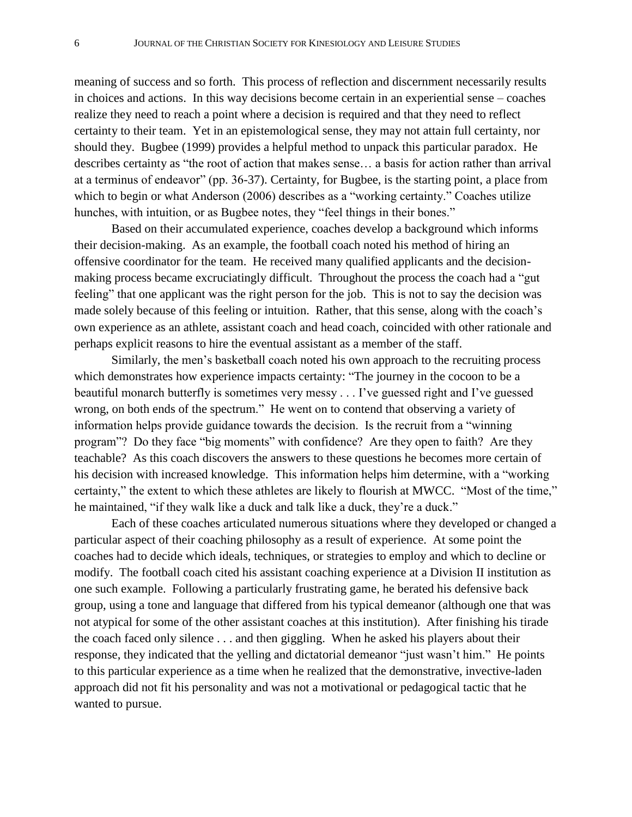meaning of success and so forth. This process of reflection and discernment necessarily results in choices and actions. In this way decisions become certain in an experiential sense – coaches realize they need to reach a point where a decision is required and that they need to reflect certainty to their team. Yet in an epistemological sense, they may not attain full certainty, nor should they. Bugbee (1999) provides a helpful method to unpack this particular paradox. He describes certainty as "the root of action that makes sense… a basis for action rather than arrival at a terminus of endeavor" (pp. 36-37). Certainty, for Bugbee, is the starting point, a place from which to begin or what Anderson (2006) describes as a "working certainty." Coaches utilize hunches, with intuition, or as Bugbee notes, they "feel things in their bones."

Based on their accumulated experience, coaches develop a background which informs their decision-making. As an example, the football coach noted his method of hiring an offensive coordinator for the team. He received many qualified applicants and the decisionmaking process became excruciatingly difficult. Throughout the process the coach had a "gut feeling" that one applicant was the right person for the job. This is not to say the decision was made solely because of this feeling or intuition. Rather, that this sense, along with the coach's own experience as an athlete, assistant coach and head coach, coincided with other rationale and perhaps explicit reasons to hire the eventual assistant as a member of the staff.

Similarly, the men's basketball coach noted his own approach to the recruiting process which demonstrates how experience impacts certainty: "The journey in the cocoon to be a beautiful monarch butterfly is sometimes very messy . . . I've guessed right and I've guessed wrong, on both ends of the spectrum." He went on to contend that observing a variety of information helps provide guidance towards the decision. Is the recruit from a "winning program"? Do they face "big moments" with confidence? Are they open to faith? Are they teachable? As this coach discovers the answers to these questions he becomes more certain of his decision with increased knowledge. This information helps him determine, with a "working certainty," the extent to which these athletes are likely to flourish at MWCC. "Most of the time," he maintained, "if they walk like a duck and talk like a duck, they're a duck."

Each of these coaches articulated numerous situations where they developed or changed a particular aspect of their coaching philosophy as a result of experience. At some point the coaches had to decide which ideals, techniques, or strategies to employ and which to decline or modify. The football coach cited his assistant coaching experience at a Division II institution as one such example. Following a particularly frustrating game, he berated his defensive back group, using a tone and language that differed from his typical demeanor (although one that was not atypical for some of the other assistant coaches at this institution). After finishing his tirade the coach faced only silence . . . and then giggling. When he asked his players about their response, they indicated that the yelling and dictatorial demeanor "just wasn't him." He points to this particular experience as a time when he realized that the demonstrative, invective-laden approach did not fit his personality and was not a motivational or pedagogical tactic that he wanted to pursue.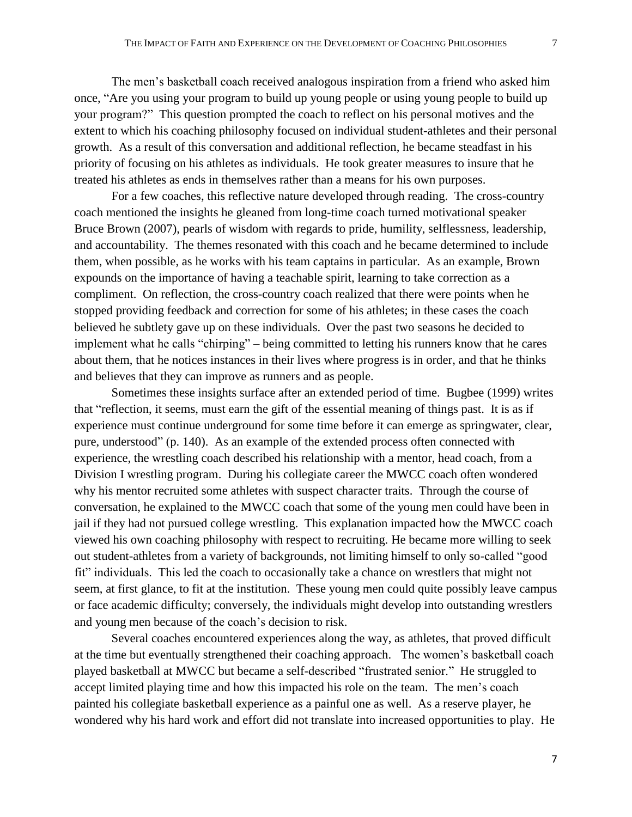The men's basketball coach received analogous inspiration from a friend who asked him once, "Are you using your program to build up young people or using young people to build up your program?" This question prompted the coach to reflect on his personal motives and the extent to which his coaching philosophy focused on individual student-athletes and their personal growth. As a result of this conversation and additional reflection, he became steadfast in his priority of focusing on his athletes as individuals. He took greater measures to insure that he treated his athletes as ends in themselves rather than a means for his own purposes.

For a few coaches, this reflective nature developed through reading. The cross-country coach mentioned the insights he gleaned from long-time coach turned motivational speaker Bruce Brown (2007), pearls of wisdom with regards to pride, humility, selflessness, leadership, and accountability. The themes resonated with this coach and he became determined to include them, when possible, as he works with his team captains in particular. As an example, Brown expounds on the importance of having a teachable spirit, learning to take correction as a compliment. On reflection, the cross-country coach realized that there were points when he stopped providing feedback and correction for some of his athletes; in these cases the coach believed he subtlety gave up on these individuals. Over the past two seasons he decided to implement what he calls "chirping" – being committed to letting his runners know that he cares about them, that he notices instances in their lives where progress is in order, and that he thinks and believes that they can improve as runners and as people.

Sometimes these insights surface after an extended period of time. Bugbee (1999) writes that "reflection, it seems, must earn the gift of the essential meaning of things past. It is as if experience must continue underground for some time before it can emerge as springwater, clear, pure, understood" (p. 140). As an example of the extended process often connected with experience, the wrestling coach described his relationship with a mentor, head coach, from a Division I wrestling program. During his collegiate career the MWCC coach often wondered why his mentor recruited some athletes with suspect character traits. Through the course of conversation, he explained to the MWCC coach that some of the young men could have been in jail if they had not pursued college wrestling. This explanation impacted how the MWCC coach viewed his own coaching philosophy with respect to recruiting. He became more willing to seek out student-athletes from a variety of backgrounds, not limiting himself to only so-called "good fit" individuals. This led the coach to occasionally take a chance on wrestlers that might not seem, at first glance, to fit at the institution. These young men could quite possibly leave campus or face academic difficulty; conversely, the individuals might develop into outstanding wrestlers and young men because of the coach's decision to risk.

Several coaches encountered experiences along the way, as athletes, that proved difficult at the time but eventually strengthened their coaching approach. The women's basketball coach played basketball at MWCC but became a self-described "frustrated senior." He struggled to accept limited playing time and how this impacted his role on the team. The men's coach painted his collegiate basketball experience as a painful one as well. As a reserve player, he wondered why his hard work and effort did not translate into increased opportunities to play. He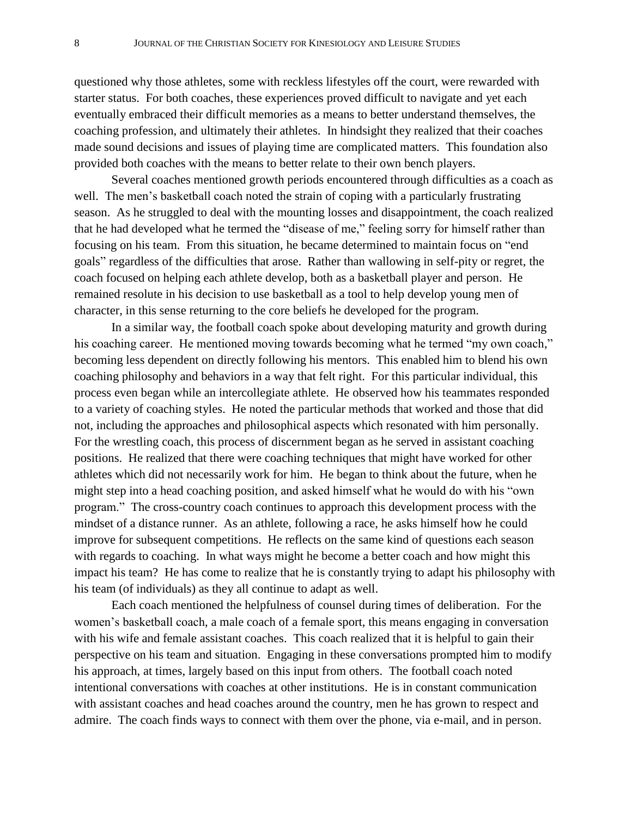questioned why those athletes, some with reckless lifestyles off the court, were rewarded with starter status. For both coaches, these experiences proved difficult to navigate and yet each eventually embraced their difficult memories as a means to better understand themselves, the coaching profession, and ultimately their athletes. In hindsight they realized that their coaches made sound decisions and issues of playing time are complicated matters. This foundation also provided both coaches with the means to better relate to their own bench players.

Several coaches mentioned growth periods encountered through difficulties as a coach as well. The men's basketball coach noted the strain of coping with a particularly frustrating season. As he struggled to deal with the mounting losses and disappointment, the coach realized that he had developed what he termed the "disease of me," feeling sorry for himself rather than focusing on his team. From this situation, he became determined to maintain focus on "end goals" regardless of the difficulties that arose. Rather than wallowing in self-pity or regret, the coach focused on helping each athlete develop, both as a basketball player and person. He remained resolute in his decision to use basketball as a tool to help develop young men of character, in this sense returning to the core beliefs he developed for the program.

In a similar way, the football coach spoke about developing maturity and growth during his coaching career. He mentioned moving towards becoming what he termed "my own coach," becoming less dependent on directly following his mentors. This enabled him to blend his own coaching philosophy and behaviors in a way that felt right. For this particular individual, this process even began while an intercollegiate athlete. He observed how his teammates responded to a variety of coaching styles. He noted the particular methods that worked and those that did not, including the approaches and philosophical aspects which resonated with him personally. For the wrestling coach, this process of discernment began as he served in assistant coaching positions. He realized that there were coaching techniques that might have worked for other athletes which did not necessarily work for him. He began to think about the future, when he might step into a head coaching position, and asked himself what he would do with his "own program." The cross-country coach continues to approach this development process with the mindset of a distance runner. As an athlete, following a race, he asks himself how he could improve for subsequent competitions. He reflects on the same kind of questions each season with regards to coaching. In what ways might he become a better coach and how might this impact his team? He has come to realize that he is constantly trying to adapt his philosophy with his team (of individuals) as they all continue to adapt as well.

Each coach mentioned the helpfulness of counsel during times of deliberation. For the women's basketball coach, a male coach of a female sport, this means engaging in conversation with his wife and female assistant coaches. This coach realized that it is helpful to gain their perspective on his team and situation. Engaging in these conversations prompted him to modify his approach, at times, largely based on this input from others. The football coach noted intentional conversations with coaches at other institutions. He is in constant communication with assistant coaches and head coaches around the country, men he has grown to respect and admire. The coach finds ways to connect with them over the phone, via e-mail, and in person.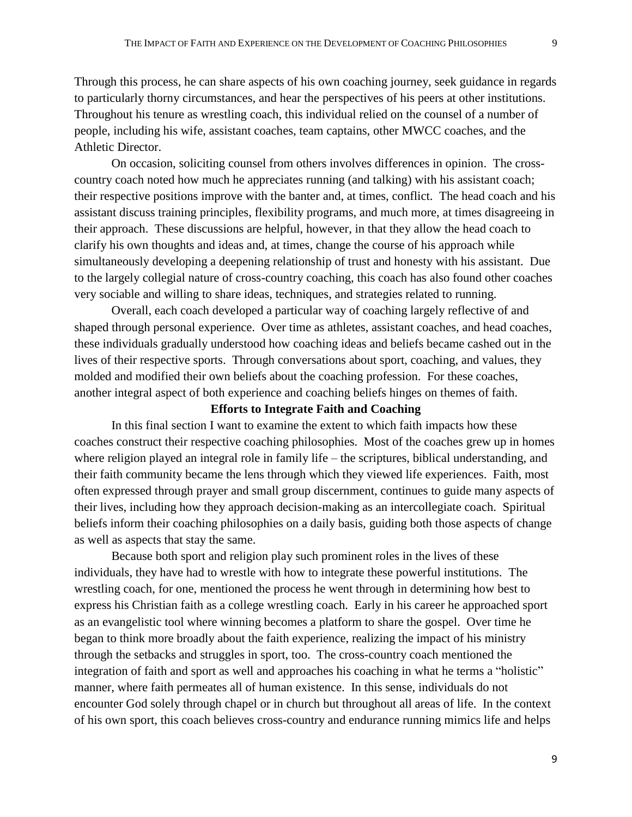Through this process, he can share aspects of his own coaching journey, seek guidance in regards to particularly thorny circumstances, and hear the perspectives of his peers at other institutions. Throughout his tenure as wrestling coach, this individual relied on the counsel of a number of people, including his wife, assistant coaches, team captains, other MWCC coaches, and the Athletic Director.

On occasion, soliciting counsel from others involves differences in opinion. The crosscountry coach noted how much he appreciates running (and talking) with his assistant coach; their respective positions improve with the banter and, at times, conflict. The head coach and his assistant discuss training principles, flexibility programs, and much more, at times disagreeing in their approach. These discussions are helpful, however, in that they allow the head coach to clarify his own thoughts and ideas and, at times, change the course of his approach while simultaneously developing a deepening relationship of trust and honesty with his assistant. Due to the largely collegial nature of cross-country coaching, this coach has also found other coaches very sociable and willing to share ideas, techniques, and strategies related to running.

Overall, each coach developed a particular way of coaching largely reflective of and shaped through personal experience. Over time as athletes, assistant coaches, and head coaches, these individuals gradually understood how coaching ideas and beliefs became cashed out in the lives of their respective sports. Through conversations about sport, coaching, and values, they molded and modified their own beliefs about the coaching profession. For these coaches, another integral aspect of both experience and coaching beliefs hinges on themes of faith.

# **Efforts to Integrate Faith and Coaching**

In this final section I want to examine the extent to which faith impacts how these coaches construct their respective coaching philosophies. Most of the coaches grew up in homes where religion played an integral role in family life – the scriptures, biblical understanding, and their faith community became the lens through which they viewed life experiences. Faith, most often expressed through prayer and small group discernment, continues to guide many aspects of their lives, including how they approach decision-making as an intercollegiate coach. Spiritual beliefs inform their coaching philosophies on a daily basis, guiding both those aspects of change as well as aspects that stay the same.

Because both sport and religion play such prominent roles in the lives of these individuals, they have had to wrestle with how to integrate these powerful institutions. The wrestling coach, for one, mentioned the process he went through in determining how best to express his Christian faith as a college wrestling coach. Early in his career he approached sport as an evangelistic tool where winning becomes a platform to share the gospel. Over time he began to think more broadly about the faith experience, realizing the impact of his ministry through the setbacks and struggles in sport, too. The cross-country coach mentioned the integration of faith and sport as well and approaches his coaching in what he terms a "holistic" manner, where faith permeates all of human existence. In this sense, individuals do not encounter God solely through chapel or in church but throughout all areas of life. In the context of his own sport, this coach believes cross-country and endurance running mimics life and helps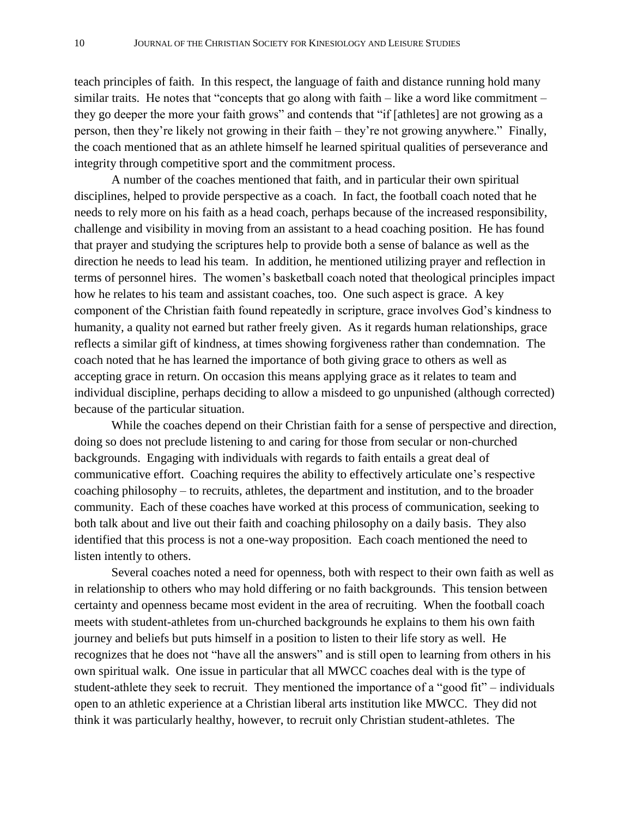teach principles of faith. In this respect, the language of faith and distance running hold many similar traits. He notes that "concepts that go along with faith – like a word like commitment – they go deeper the more your faith grows" and contends that "if [athletes] are not growing as a person, then they're likely not growing in their faith – they're not growing anywhere." Finally, the coach mentioned that as an athlete himself he learned spiritual qualities of perseverance and integrity through competitive sport and the commitment process.

A number of the coaches mentioned that faith, and in particular their own spiritual disciplines, helped to provide perspective as a coach. In fact, the football coach noted that he needs to rely more on his faith as a head coach, perhaps because of the increased responsibility, challenge and visibility in moving from an assistant to a head coaching position. He has found that prayer and studying the scriptures help to provide both a sense of balance as well as the direction he needs to lead his team. In addition, he mentioned utilizing prayer and reflection in terms of personnel hires. The women's basketball coach noted that theological principles impact how he relates to his team and assistant coaches, too. One such aspect is grace. A key component of the Christian faith found repeatedly in scripture, grace involves God's kindness to humanity, a quality not earned but rather freely given. As it regards human relationships, grace reflects a similar gift of kindness, at times showing forgiveness rather than condemnation. The coach noted that he has learned the importance of both giving grace to others as well as accepting grace in return. On occasion this means applying grace as it relates to team and individual discipline, perhaps deciding to allow a misdeed to go unpunished (although corrected) because of the particular situation.

While the coaches depend on their Christian faith for a sense of perspective and direction, doing so does not preclude listening to and caring for those from secular or non-churched backgrounds. Engaging with individuals with regards to faith entails a great deal of communicative effort. Coaching requires the ability to effectively articulate one's respective coaching philosophy – to recruits, athletes, the department and institution, and to the broader community. Each of these coaches have worked at this process of communication, seeking to both talk about and live out their faith and coaching philosophy on a daily basis. They also identified that this process is not a one-way proposition. Each coach mentioned the need to listen intently to others.

Several coaches noted a need for openness, both with respect to their own faith as well as in relationship to others who may hold differing or no faith backgrounds. This tension between certainty and openness became most evident in the area of recruiting. When the football coach meets with student-athletes from un-churched backgrounds he explains to them his own faith journey and beliefs but puts himself in a position to listen to their life story as well. He recognizes that he does not "have all the answers" and is still open to learning from others in his own spiritual walk. One issue in particular that all MWCC coaches deal with is the type of student-athlete they seek to recruit. They mentioned the importance of a "good fit" – individuals open to an athletic experience at a Christian liberal arts institution like MWCC. They did not think it was particularly healthy, however, to recruit only Christian student-athletes. The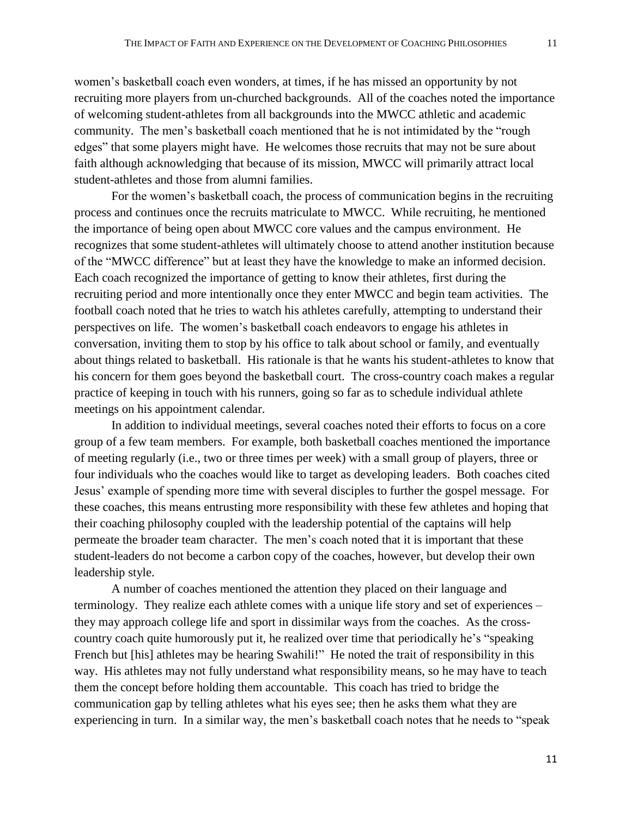women's basketball coach even wonders, at times, if he has missed an opportunity by not recruiting more players from un-churched backgrounds. All of the coaches noted the importance of welcoming student-athletes from all backgrounds into the MWCC athletic and academic community. The men's basketball coach mentioned that he is not intimidated by the "rough edges" that some players might have. He welcomes those recruits that may not be sure about faith although acknowledging that because of its mission, MWCC will primarily attract local

student-athletes and those from alumni families.

For the women's basketball coach, the process of communication begins in the recruiting process and continues once the recruits matriculate to MWCC. While recruiting, he mentioned the importance of being open about MWCC core values and the campus environment. He recognizes that some student-athletes will ultimately choose to attend another institution because of the "MWCC difference" but at least they have the knowledge to make an informed decision. Each coach recognized the importance of getting to know their athletes, first during the recruiting period and more intentionally once they enter MWCC and begin team activities. The football coach noted that he tries to watch his athletes carefully, attempting to understand their perspectives on life. The women's basketball coach endeavors to engage his athletes in conversation, inviting them to stop by his office to talk about school or family, and eventually about things related to basketball. His rationale is that he wants his student-athletes to know that his concern for them goes beyond the basketball court. The cross-country coach makes a regular practice of keeping in touch with his runners, going so far as to schedule individual athlete meetings on his appointment calendar.

In addition to individual meetings, several coaches noted their efforts to focus on a core group of a few team members. For example, both basketball coaches mentioned the importance of meeting regularly (i.e., two or three times per week) with a small group of players, three or four individuals who the coaches would like to target as developing leaders. Both coaches cited Jesus' example of spending more time with several disciples to further the gospel message. For these coaches, this means entrusting more responsibility with these few athletes and hoping that their coaching philosophy coupled with the leadership potential of the captains will help permeate the broader team character. The men's coach noted that it is important that these student-leaders do not become a carbon copy of the coaches, however, but develop their own leadership style.

A number of coaches mentioned the attention they placed on their language and terminology. They realize each athlete comes with a unique life story and set of experiences – they may approach college life and sport in dissimilar ways from the coaches. As the crosscountry coach quite humorously put it, he realized over time that periodically he's "speaking French but [his] athletes may be hearing Swahili!" He noted the trait of responsibility in this way. His athletes may not fully understand what responsibility means, so he may have to teach them the concept before holding them accountable. This coach has tried to bridge the communication gap by telling athletes what his eyes see; then he asks them what they are experiencing in turn. In a similar way, the men's basketball coach notes that he needs to "speak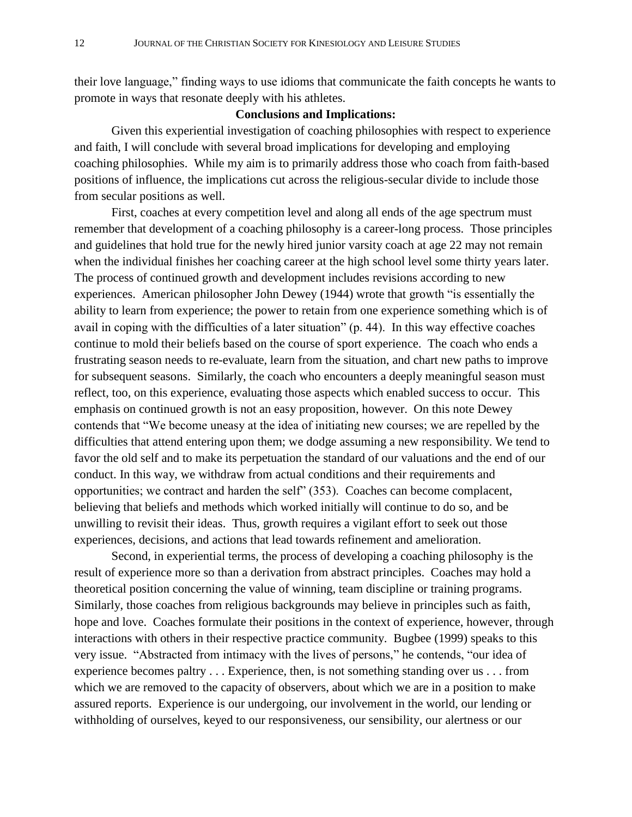their love language," finding ways to use idioms that communicate the faith concepts he wants to promote in ways that resonate deeply with his athletes.

## **Conclusions and Implications:**

Given this experiential investigation of coaching philosophies with respect to experience and faith, I will conclude with several broad implications for developing and employing coaching philosophies. While my aim is to primarily address those who coach from faith-based positions of influence, the implications cut across the religious-secular divide to include those from secular positions as well.

First, coaches at every competition level and along all ends of the age spectrum must remember that development of a coaching philosophy is a career-long process. Those principles and guidelines that hold true for the newly hired junior varsity coach at age 22 may not remain when the individual finishes her coaching career at the high school level some thirty years later. The process of continued growth and development includes revisions according to new experiences. American philosopher John Dewey (1944) wrote that growth "is essentially the ability to learn from experience; the power to retain from one experience something which is of avail in coping with the difficulties of a later situation" (p. 44). In this way effective coaches continue to mold their beliefs based on the course of sport experience. The coach who ends a frustrating season needs to re-evaluate, learn from the situation, and chart new paths to improve for subsequent seasons. Similarly, the coach who encounters a deeply meaningful season must reflect, too, on this experience, evaluating those aspects which enabled success to occur. This emphasis on continued growth is not an easy proposition, however. On this note Dewey contends that "We become uneasy at the idea of initiating new courses; we are repelled by the difficulties that attend entering upon them; we dodge assuming a new responsibility. We tend to favor the old self and to make its perpetuation the standard of our valuations and the end of our conduct. In this way, we withdraw from actual conditions and their requirements and opportunities; we contract and harden the self" (353). Coaches can become complacent, believing that beliefs and methods which worked initially will continue to do so, and be unwilling to revisit their ideas. Thus, growth requires a vigilant effort to seek out those experiences, decisions, and actions that lead towards refinement and amelioration.

Second, in experiential terms, the process of developing a coaching philosophy is the result of experience more so than a derivation from abstract principles. Coaches may hold a theoretical position concerning the value of winning, team discipline or training programs. Similarly, those coaches from religious backgrounds may believe in principles such as faith, hope and love. Coaches formulate their positions in the context of experience, however, through interactions with others in their respective practice community. Bugbee (1999) speaks to this very issue. "Abstracted from intimacy with the lives of persons," he contends, "our idea of experience becomes paltry . . . Experience, then, is not something standing over us . . . from which we are removed to the capacity of observers, about which we are in a position to make assured reports. Experience is our undergoing, our involvement in the world, our lending or withholding of ourselves, keyed to our responsiveness, our sensibility, our alertness or our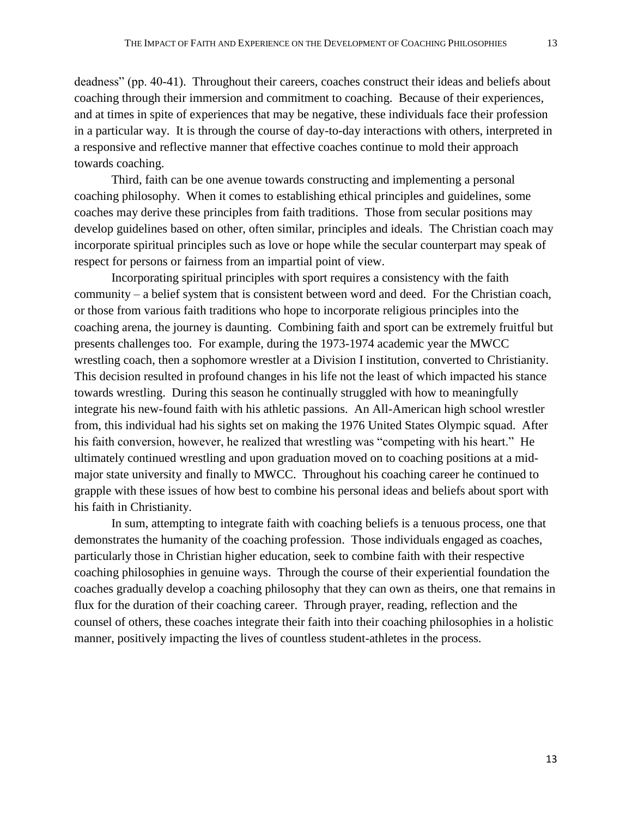deadness" (pp. 40-41). Throughout their careers, coaches construct their ideas and beliefs about coaching through their immersion and commitment to coaching. Because of their experiences, and at times in spite of experiences that may be negative, these individuals face their profession in a particular way. It is through the course of day-to-day interactions with others, interpreted in a responsive and reflective manner that effective coaches continue to mold their approach towards coaching.

Third, faith can be one avenue towards constructing and implementing a personal coaching philosophy. When it comes to establishing ethical principles and guidelines, some coaches may derive these principles from faith traditions. Those from secular positions may develop guidelines based on other, often similar, principles and ideals. The Christian coach may incorporate spiritual principles such as love or hope while the secular counterpart may speak of respect for persons or fairness from an impartial point of view.

Incorporating spiritual principles with sport requires a consistency with the faith community – a belief system that is consistent between word and deed. For the Christian coach, or those from various faith traditions who hope to incorporate religious principles into the coaching arena, the journey is daunting. Combining faith and sport can be extremely fruitful but presents challenges too. For example, during the 1973-1974 academic year the MWCC wrestling coach, then a sophomore wrestler at a Division I institution, converted to Christianity. This decision resulted in profound changes in his life not the least of which impacted his stance towards wrestling. During this season he continually struggled with how to meaningfully integrate his new-found faith with his athletic passions. An All-American high school wrestler from, this individual had his sights set on making the 1976 United States Olympic squad. After his faith conversion, however, he realized that wrestling was "competing with his heart." He ultimately continued wrestling and upon graduation moved on to coaching positions at a midmajor state university and finally to MWCC. Throughout his coaching career he continued to grapple with these issues of how best to combine his personal ideas and beliefs about sport with his faith in Christianity.

In sum, attempting to integrate faith with coaching beliefs is a tenuous process, one that demonstrates the humanity of the coaching profession. Those individuals engaged as coaches, particularly those in Christian higher education, seek to combine faith with their respective coaching philosophies in genuine ways. Through the course of their experiential foundation the coaches gradually develop a coaching philosophy that they can own as theirs, one that remains in flux for the duration of their coaching career. Through prayer, reading, reflection and the counsel of others, these coaches integrate their faith into their coaching philosophies in a holistic manner, positively impacting the lives of countless student-athletes in the process.